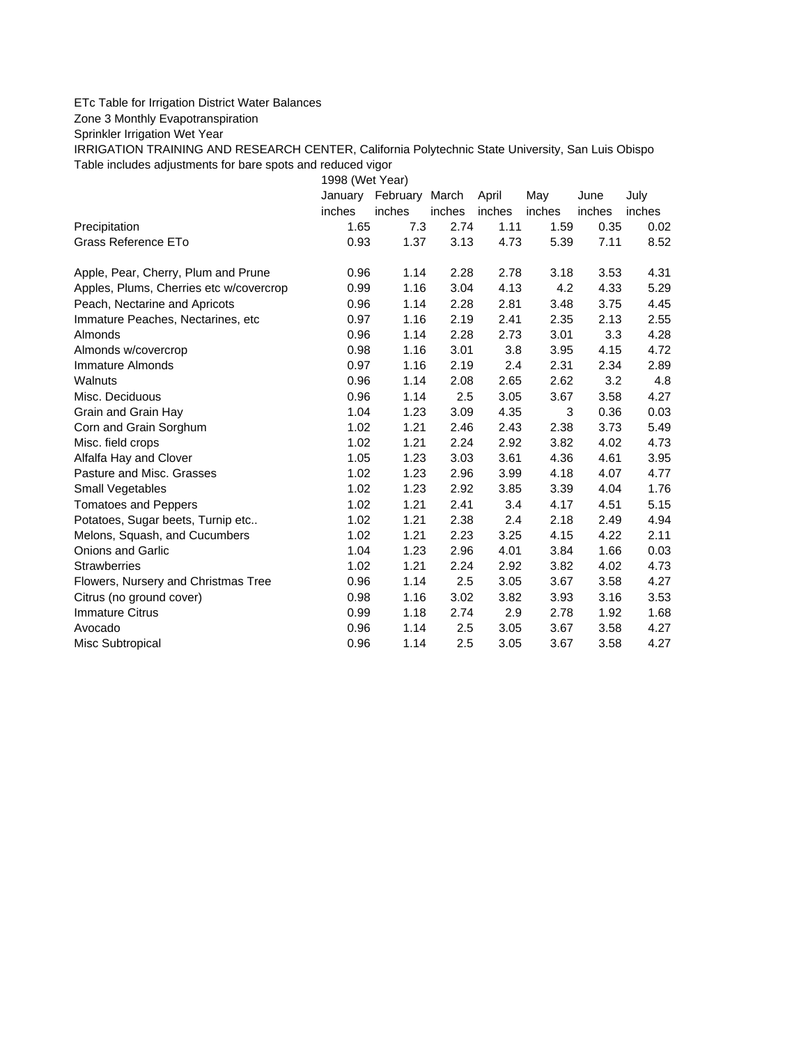## ETc Table for Irrigation District Water Balances

Zone 3 Monthly Evapotranspiration

Sprinkler Irrigation Wet Year

IRRIGATION TRAINING AND RESEARCH CENTER, California Polytechnic State University, San Luis Obispo Table includes adjustments for bare spots and reduced vigor

1998 (Wet Year)

|                                         | January | February March |        | April  | May    | June   | July   |
|-----------------------------------------|---------|----------------|--------|--------|--------|--------|--------|
|                                         | inches  | inches         | inches | inches | inches | inches | inches |
| Precipitation                           | 1.65    | 7.3            | 2.74   | 1.11   | 1.59   | 0.35   | 0.02   |
| Grass Reference ETo                     | 0.93    | 1.37           | 3.13   | 4.73   | 5.39   | 7.11   | 8.52   |
| Apple, Pear, Cherry, Plum and Prune     | 0.96    | 1.14           | 2.28   | 2.78   | 3.18   | 3.53   | 4.31   |
| Apples, Plums, Cherries etc w/covercrop | 0.99    | 1.16           | 3.04   | 4.13   | 4.2    | 4.33   | 5.29   |
| Peach, Nectarine and Apricots           | 0.96    | 1.14           | 2.28   | 2.81   | 3.48   | 3.75   | 4.45   |
| Immature Peaches, Nectarines, etc.      | 0.97    | 1.16           | 2.19   | 2.41   | 2.35   | 2.13   | 2.55   |
| Almonds                                 | 0.96    | 1.14           | 2.28   | 2.73   | 3.01   | 3.3    | 4.28   |
| Almonds w/covercrop                     | 0.98    | 1.16           | 3.01   | 3.8    | 3.95   | 4.15   | 4.72   |
| Immature Almonds                        | 0.97    | 1.16           | 2.19   | 2.4    | 2.31   | 2.34   | 2.89   |
| Walnuts                                 | 0.96    | 1.14           | 2.08   | 2.65   | 2.62   | 3.2    | 4.8    |
| Misc. Deciduous                         | 0.96    | 1.14           | 2.5    | 3.05   | 3.67   | 3.58   | 4.27   |
| Grain and Grain Hay                     | 1.04    | 1.23           | 3.09   | 4.35   | 3      | 0.36   | 0.03   |
| Corn and Grain Sorghum                  | 1.02    | 1.21           | 2.46   | 2.43   | 2.38   | 3.73   | 5.49   |
| Misc. field crops                       | 1.02    | 1.21           | 2.24   | 2.92   | 3.82   | 4.02   | 4.73   |
| Alfalfa Hay and Clover                  | 1.05    | 1.23           | 3.03   | 3.61   | 4.36   | 4.61   | 3.95   |
| Pasture and Misc. Grasses               | 1.02    | 1.23           | 2.96   | 3.99   | 4.18   | 4.07   | 4.77   |
| Small Vegetables                        | 1.02    | 1.23           | 2.92   | 3.85   | 3.39   | 4.04   | 1.76   |
| <b>Tomatoes and Peppers</b>             | 1.02    | 1.21           | 2.41   | 3.4    | 4.17   | 4.51   | 5.15   |
| Potatoes, Sugar beets, Turnip etc       | 1.02    | 1.21           | 2.38   | 2.4    | 2.18   | 2.49   | 4.94   |
| Melons, Squash, and Cucumbers           | 1.02    | 1.21           | 2.23   | 3.25   | 4.15   | 4.22   | 2.11   |
| Onions and Garlic                       | 1.04    | 1.23           | 2.96   | 4.01   | 3.84   | 1.66   | 0.03   |
| <b>Strawberries</b>                     | 1.02    | 1.21           | 2.24   | 2.92   | 3.82   | 4.02   | 4.73   |
| Flowers, Nursery and Christmas Tree     | 0.96    | 1.14           | 2.5    | 3.05   | 3.67   | 3.58   | 4.27   |
| Citrus (no ground cover)                | 0.98    | 1.16           | 3.02   | 3.82   | 3.93   | 3.16   | 3.53   |
| Immature Citrus                         | 0.99    | 1.18           | 2.74   | 2.9    | 2.78   | 1.92   | 1.68   |
| Avocado                                 | 0.96    | 1.14           | 2.5    | 3.05   | 3.67   | 3.58   | 4.27   |
| Misc Subtropical                        | 0.96    | 1.14           | 2.5    | 3.05   | 3.67   | 3.58   | 4.27   |